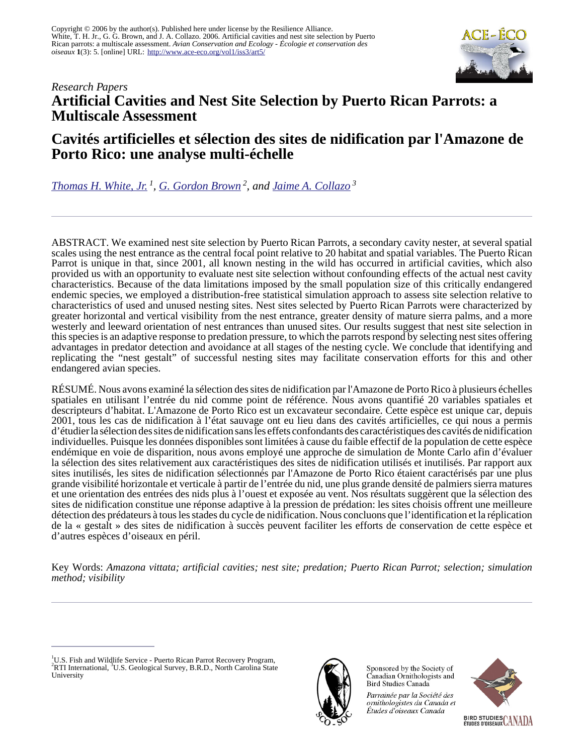

# *Research Papers* **Artificial Cavities and Nest Site Selection by Puerto Rican Parrots: a Multiscale Assessment**

# **Cavités artificielles et sélection des sites de nidification par l'Amazone de Porto Rico: une analyse multi-échelle**

*[Thomas H. White, Jr.](mailto:thomas_white@fws.gov)<sup>1</sup> , [G. Gordon Brown](mailto:ggbrown@rti.org)<sup>2</sup>, and [Jaime A. Collazo](mailto:jaime_collazo@ncsu.edu)<sup>3</sup>*

ABSTRACT. We examined nest site selection by Puerto Rican Parrots, a secondary cavity nester, at several spatial scales using the nest entrance as the central focal point relative to 20 habitat and spatial variables. The Puerto Rican Parrot is unique in that, since 2001, all known nesting in the wild has occurred in artificial cavities, which also provided us with an opportunity to evaluate nest site selection without confounding effects of the actual nest cavity characteristics. Because of the data limitations imposed by the small population size of this critically endangered endemic species, we employed a distribution-free statistical simulation approach to assess site selection relative to characteristics of used and unused nesting sites. Nest sites selected by Puerto Rican Parrots were characterized by greater horizontal and vertical visibility from the nest entrance, greater density of mature sierra palms, and a more westerly and leeward orientation of nest entrances than unused sites. Our results suggest that nest site selection in this species is an adaptive response to predation pressure, to which the parrots respond by selecting nest sites offering advantages in predator detection and avoidance at all stages of the nesting cycle. We conclude that identifying and replicating the "nest gestalt" of successful nesting sites may facilitate conservation efforts for this and other endangered avian species.

RÉSUMÉ. Nous avons examiné la sélection des sites de nidification par l'Amazone de Porto Rico à plusieurs échelles spatiales en utilisant l'entrée du nid comme point de référence. Nous avons quantifié 20 variables spatiales et descripteurs d'habitat. L'Amazone de Porto Rico est un excavateur secondaire. Cette espèce est unique car, depuis 2001, tous les cas de nidification à l'état sauvage ont eu lieu dans des cavités artificielles, ce qui nous a permis d'étudier la sélection des sites de nidification sans les effets confondants des caractéristiques des cavités de nidification individuelles. Puisque les données disponibles sont limitées à cause du faible effectif de la population de cette espèce endémique en voie de disparition, nous avons employé une approche de simulation de Monte Carlo afin d'évaluer la sélection des sites relativement aux caractéristiques des sites de nidification utilisés et inutilisés. Par rapport aux sites inutilisés, les sites de nidification sélectionnés par l'Amazone de Porto Rico étaient caractérisés par une plus grande visibilité horizontale et verticale à partir de l'entrée du nid, une plus grande densité de palmiers sierra matures et une orientation des entrées des nids plus à l'ouest et exposée au vent. Nos résultats suggèrent que la sélection des sites de nidification constitue une réponse adaptive à la pression de prédation: les sites choisis offrent une meilleure détection des prédateurs à tous les stades du cycle de nidification. Nous concluons que l'identification et la réplication de la « gestalt » des sites de nidification à succès peuvent faciliter les efforts de conservation de cette espèce et d'autres espèces d'oiseaux en péril.

Key Words: *Amazona vittata; artificial cavities; nest site; predation; Puerto Rican Parrot; selection; simulation method; visibility*

<sup>&</sup>lt;sup>1</sup>U.S. Fish and Wildlife Service - Puerto Rican Parrot Recovery Program, <sup>2</sup>RTI International, <sup>3</sup>U.S. Geological Survey, B.R.D., North Carolina State University



Sponsored by the Society of Canadian Ornithologists and Bird Studies Canada

Parrainée par la Société des ornithologistes du Canada et Études d'oiseaux Canada

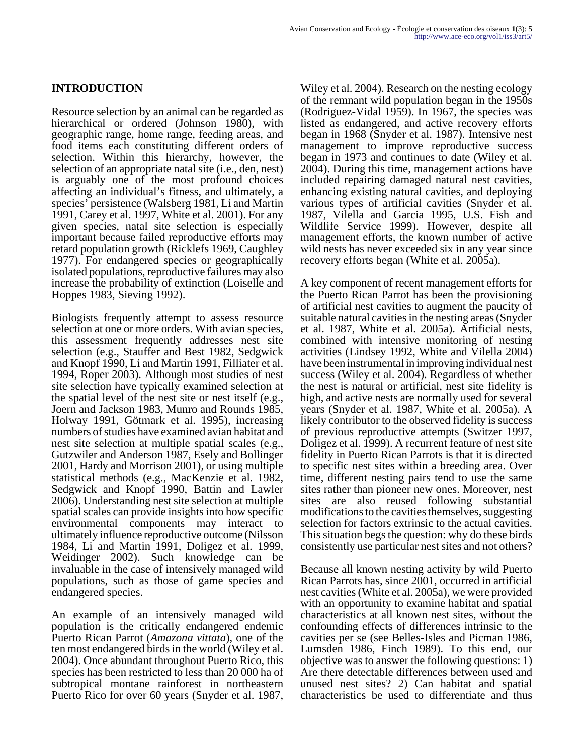## **INTRODUCTION**

Resource selection by an animal can be regarded as hierarchical or ordered (Johnson 1980), with geographic range, home range, feeding areas, and food items each constituting different orders of selection. Within this hierarchy, however, the selection of an appropriate natal site (i.e., den, nest) is arguably one of the most profound choices affecting an individual's fitness, and ultimately, a species' persistence (Walsberg 1981, Li and Martin 1991, Carey et al. 1997, White et al. 2001). For any given species, natal site selection is especially important because failed reproductive efforts may retard population growth (Ricklefs 1969, Caughley 1977). For endangered species or geographically isolated populations, reproductive failures may also increase the probability of extinction (Loiselle and Hoppes 1983, Sieving 1992).

Biologists frequently attempt to assess resource selection at one or more orders. With avian species, this assessment frequently addresses nest site selection (e.g., Stauffer and Best 1982, Sedgwick and Knopf 1990, Li and Martin 1991, Filliater et al. 1994, Roper 2003). Although most studies of nest site selection have typically examined selection at the spatial level of the nest site or nest itself (e.g., Joern and Jackson 1983, Munro and Rounds 1985, Holway 1991, Götmark et al. 1995), increasing numbers of studies have examined avian habitat and nest site selection at multiple spatial scales (e.g., Gutzwiler and Anderson 1987, Esely and Bollinger 2001, Hardy and Morrison 2001), or using multiple statistical methods (e.g., MacKenzie et al. 1982, Sedgwick and Knopf 1990, Battin and Lawler 2006). Understanding nest site selection at multiple spatial scales can provide insights into how specific environmental components may interact to ultimately influence reproductive outcome (Nilsson 1984, Li and Martin 1991, Doligez et al. 1999, Weidinger 2002). Such knowledge can be invaluable in the case of intensively managed wild populations, such as those of game species and endangered species.

An example of an intensively managed wild population is the critically endangered endemic Puerto Rican Parrot (*Amazona vittata*), one of the ten most endangered birds in the world (Wiley et al. 2004). Once abundant throughout Puerto Rico, this species has been restricted to less than 20 000 ha of subtropical montane rainforest in northeastern Puerto Rico for over 60 years (Snyder et al. 1987,

Wiley et al. 2004). Research on the nesting ecology of the remnant wild population began in the 1950s (Rodriguez-Vidal 1959). In 1967, the species was listed as endangered, and active recovery efforts began in 1968 (Snyder et al. 1987). Intensive nest management to improve reproductive success began in 1973 and continues to date (Wiley et al. 2004). During this time, management actions have included repairing damaged natural nest cavities, enhancing existing natural cavities, and deploying various types of artificial cavities (Snyder et al. 1987, Vilella and Garcia 1995, U.S. Fish and Wildlife Service 1999). However, despite all management efforts, the known number of active wild nests has never exceeded six in any year since recovery efforts began (White et al. 2005a).

A key component of recent management efforts for the Puerto Rican Parrot has been the provisioning of artificial nest cavities to augment the paucity of suitable natural cavities in the nesting areas (Snyder et al. 1987, White et al. 2005a). Artificial nests, combined with intensive monitoring of nesting activities (Lindsey 1992, White and Vilella 2004) have been instrumental in improving individual nest success (Wiley et al. 2004). Regardless of whether the nest is natural or artificial, nest site fidelity is high, and active nests are normally used for several years (Snyder et al. 1987, White et al. 2005a). A likely contributor to the observed fidelity is success of previous reproductive attempts (Switzer 1997, Doligez et al. 1999). A recurrent feature of nest site fidelity in Puerto Rican Parrots is that it is directed to specific nest sites within a breeding area. Over time, different nesting pairs tend to use the same sites rather than pioneer new ones. Moreover, nest sites are also reused following substantial modifications to the cavities themselves, suggesting selection for factors extrinsic to the actual cavities. This situation begs the question: why do these birds consistently use particular nest sites and not others?

Because all known nesting activity by wild Puerto Rican Parrots has, since 2001, occurred in artificial nest cavities (White et al. 2005a), we were provided with an opportunity to examine habitat and spatial characteristics at all known nest sites, without the confounding effects of differences intrinsic to the cavities per se (see Belles-Isles and Picman 1986, Lumsden 1986, Finch 1989). To this end, our objective was to answer the following questions: 1) Are there detectable differences between used and unused nest sites? 2) Can habitat and spatial characteristics be used to differentiate and thus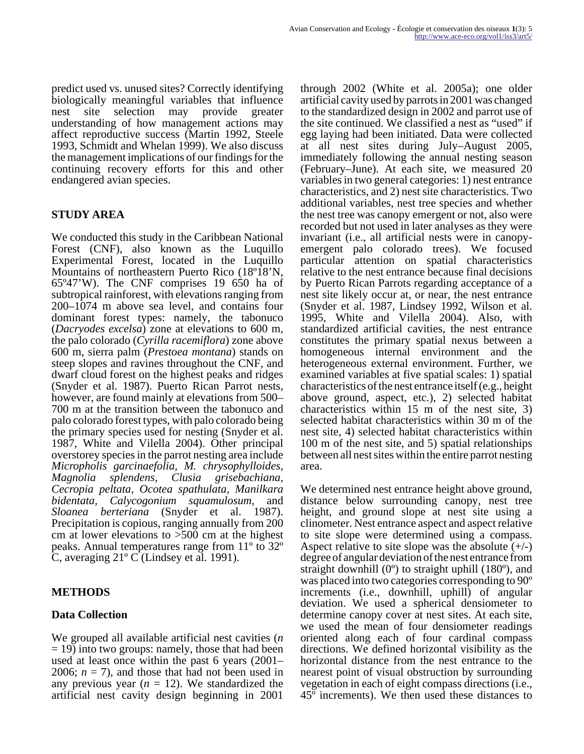predict used vs. unused sites? Correctly identifying biologically meaningful variables that influence nest site selection may provide greater understanding of how management actions may affect reproductive success (Martin 1992, Steele 1993, Schmidt and Whelan 1999). We also discuss the management implications of our findings for the continuing recovery efforts for this and other endangered avian species.

# **STUDY AREA**

We conducted this study in the Caribbean National Forest (CNF), also known as the Luquillo Experimental Forest, located in the Luquillo Mountains of northeastern Puerto Rico (18º18'N, 65º47'W). The CNF comprises 19 650 ha of subtropical rainforest, with elevations ranging from 200–1074 m above sea level, and contains four dominant forest types: namely, the tabonuco (*Dacryodes excelsa*) zone at elevations to 600 m, the palo colorado (*Cyrilla racemiflora*) zone above 600 m, sierra palm (*Prestoea montana*) stands on steep slopes and ravines throughout the CNF, and dwarf cloud forest on the highest peaks and ridges (Snyder et al. 1987). Puerto Rican Parrot nests, however, are found mainly at elevations from 500– 700 m at the transition between the tabonuco and palo colorado forest types, with palo colorado being the primary species used for nesting (Snyder et al. 1987, White and Vilella 2004). Other principal overstorey species in the parrot nesting area include *Micropholis garcinaefolia, M. chrysophylloides, Magnolia splendens, Clusia grisebachiana, Cecropia peltata, Ocotea spathulata, Manilkara bidentata, Calycogonium squamulosum,* and *Sloanea berteriana* (Snyder et al. 1987). Precipitation is copious, ranging annually from 200 cm at lower elevations to >500 cm at the highest peaks. Annual temperatures range from 11º to 32º C, averaging 21º C (Lindsey et al. 1991).

## **METHODS**

## **Data Collection**

We grouped all available artificial nest cavities (*n*  $=$  19) into two groups: namely, those that had been used at least once within the past 6 years (2001– 2006;  $n = 7$ ), and those that had not been used in any previous year  $(n = 12)$ . We standardized the artificial nest cavity design beginning in 2001

through 2002 (White et al. 2005a); one older artificial cavity used by parrots in 2001 was changed to the standardized design in 2002 and parrot use of the site continued. We classified a nest as "used" if egg laying had been initiated. Data were collected at all nest sites during July–August 2005, immediately following the annual nesting season (February–June). At each site, we measured 20 variables in two general categories: 1) nest entrance characteristics, and 2) nest site characteristics. Two additional variables, nest tree species and whether the nest tree was canopy emergent or not, also were recorded but not used in later analyses as they were invariant (i.e., all artificial nests were in canopyemergent palo colorado trees). We focused particular attention on spatial characteristics relative to the nest entrance because final decisions by Puerto Rican Parrots regarding acceptance of a nest site likely occur at, or near, the nest entrance (Snyder et al. 1987, Lindsey 1992, Wilson et al. 1995, White and Vilella 2004). Also, with standardized artificial cavities, the nest entrance constitutes the primary spatial nexus between a homogeneous internal environment and the heterogeneous external environment. Further, we examined variables at five spatial scales: 1) spatial characteristics of the nest entrance itself (e.g., height above ground, aspect, etc.), 2) selected habitat characteristics within 15 m of the nest site, 3) selected habitat characteristics within 30 m of the nest site, 4) selected habitat characteristics within 100 m of the nest site, and 5) spatial relationships between all nest sites within the entire parrot nesting area.

We determined nest entrance height above ground, distance below surrounding canopy, nest tree height, and ground slope at nest site using a clinometer. Nest entrance aspect and aspect relative to site slope were determined using a compass. Aspect relative to site slope was the absolute  $(+/-)$ degree of angular deviation of the nest entrance from straight downhill (0º) to straight uphill (180º), and was placed into two categories corresponding to 90º increments (i.e., downhill, uphill) of angular deviation. We used a spherical densiometer to determine canopy cover at nest sites. At each site, we used the mean of four densiometer readings oriented along each of four cardinal compass directions. We defined horizontal visibility as the horizontal distance from the nest entrance to the nearest point of visual obstruction by surrounding vegetation in each of eight compass directions (i.e., 45º increments). We then used these distances to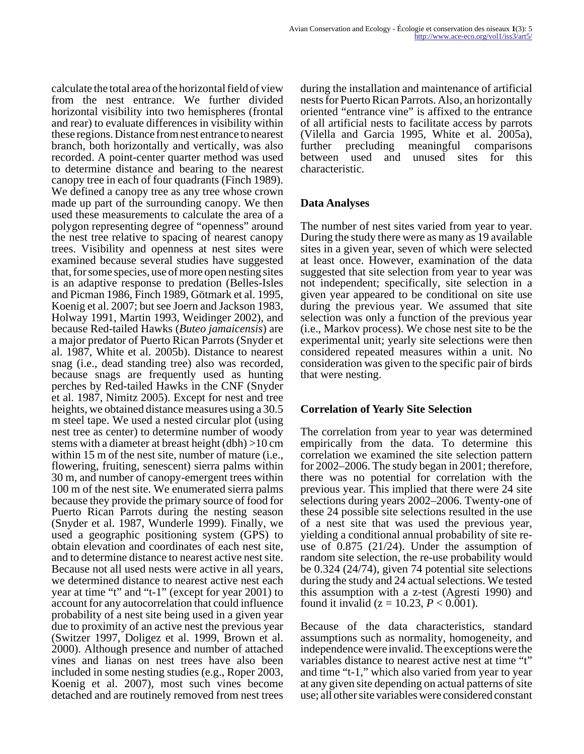calculate the total area of the horizontal field of view from the nest entrance. We further divided horizontal visibility into two hemispheres (frontal and rear) to evaluate differences in visibility within these regions. Distance from nest entrance to nearest branch, both horizontally and vertically, was also recorded. A point-center quarter method was used to determine distance and bearing to the nearest canopy tree in each of four quadrants (Finch 1989). We defined a canopy tree as any tree whose crown made up part of the surrounding canopy. We then used these measurements to calculate the area of a polygon representing degree of "openness" around the nest tree relative to spacing of nearest canopy trees. Visibility and openness at nest sites were examined because several studies have suggested that, for some species, use of more open nesting sites is an adaptive response to predation (Belles-Isles and Picman 1986, Finch 1989, Götmark et al. 1995, Koenig et al. 2007; but see Joern and Jackson 1983, Holway 1991, Martin 1993, Weidinger 2002), and because Red-tailed Hawks (*Buteo jamaicensis*) are a major predator of Puerto Rican Parrots (Snyder et al. 1987, White et al. 2005b). Distance to nearest snag (i.e., dead standing tree) also was recorded, because snags are frequently used as hunting perches by Red-tailed Hawks in the CNF (Snyder et al. 1987, Nimitz 2005). Except for nest and tree heights, we obtained distance measures using a 30.5 m steel tape. We used a nested circular plot (using nest tree as center) to determine number of woody stems with a diameter at breast height (dbh) >10 cm within 15 m of the nest site, number of mature (i.e., flowering, fruiting, senescent) sierra palms within 30 m, and number of canopy-emergent trees within 100 m of the nest site. We enumerated sierra palms because they provide the primary source of food for Puerto Rican Parrots during the nesting season (Snyder et al. 1987, Wunderle 1999). Finally, we used a geographic positioning system (GPS) to obtain elevation and coordinates of each nest site, and to determine distance to nearest active nest site. Because not all used nests were active in all years, we determined distance to nearest active nest each year at time "t" and "t-1" (except for year 2001) to account for any autocorrelation that could influence probability of a nest site being used in a given year due to proximity of an active nest the previous year (Switzer 1997, Doligez et al. 1999, Brown et al. 2000). Although presence and number of attached vines and lianas on nest trees have also been included in some nesting studies (e.g., Roper 2003, Koenig et al. 2007), most such vines become detached and are routinely removed from nest trees

during the installation and maintenance of artificial nests for Puerto Rican Parrots. Also, an horizontally oriented "entrance vine" is affixed to the entrance of all artificial nests to facilitate access by parrots (Vilella and Garcia 1995, White et al. 2005a), further precluding meaningful comparisons between used and unused sites for this characteristic.

### **Data Analyses**

The number of nest sites varied from year to year. During the study there were as many as 19 available sites in a given year, seven of which were selected at least once. However, examination of the data suggested that site selection from year to year was not independent; specifically, site selection in a given year appeared to be conditional on site use during the previous year. We assumed that site selection was only a function of the previous year (i.e., Markov process). We chose nest site to be the experimental unit; yearly site selections were then considered repeated measures within a unit. No consideration was given to the specific pair of birds that were nesting.

### **Correlation of Yearly Site Selection**

The correlation from year to year was determined empirically from the data. To determine this correlation we examined the site selection pattern for 2002–2006. The study began in 2001; therefore, there was no potential for correlation with the previous year. This implied that there were 24 site selections during years 2002–2006. Twenty-one of these 24 possible site selections resulted in the use of a nest site that was used the previous year, yielding a conditional annual probability of site reuse of 0.875 (21/24). Under the assumption of random site selection, the re-use probability would be 0.324 (24/74), given 74 potential site selections during the study and 24 actual selections. We tested this assumption with a z-test (Agresti 1990) and found it invalid ( $z = 10.23, P < 0.001$ ).

Because of the data characteristics, standard assumptions such as normality, homogeneity, and independence were invalid. The exceptions were the variables distance to nearest active nest at time "t" and time "t-1," which also varied from year to year at any given site depending on actual patterns of site use; all other site variables were considered constant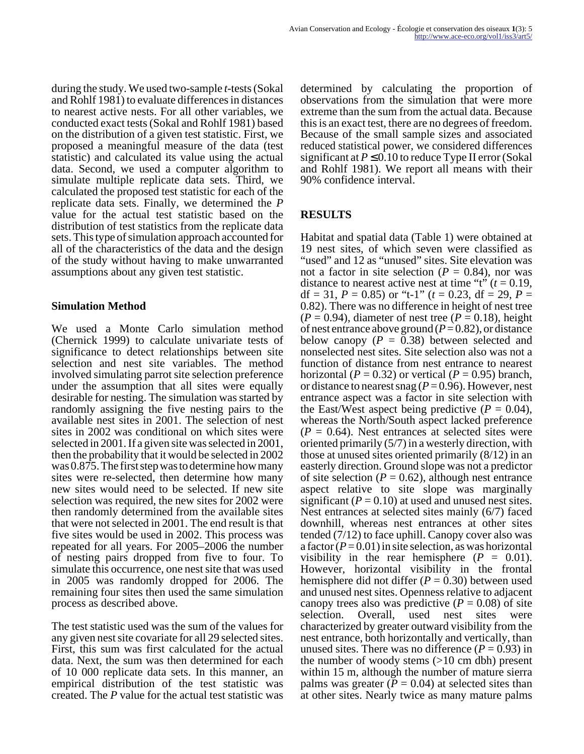during the study. We used two-sample *t*-tests (Sokal and Rohlf 1981) to evaluate differences in distances to nearest active nests. For all other variables, we conducted exact tests (Sokal and Rohlf 1981) based on the distribution of a given test statistic. First, we proposed a meaningful measure of the data (test statistic) and calculated its value using the actual data. Second, we used a computer algorithm to simulate multiple replicate data sets. Third, we calculated the proposed test statistic for each of the replicate data sets. Finally, we determined the *P* value for the actual test statistic based on the distribution of test statistics from the replicate data sets. This type of simulation approach accounted for all of the characteristics of the data and the design of the study without having to make unwarranted assumptions about any given test statistic.

#### **Simulation Method**

We used a Monte Carlo simulation method (Chernick 1999) to calculate univariate tests of significance to detect relationships between site selection and nest site variables. The method involved simulating parrot site selection preference under the assumption that all sites were equally desirable for nesting. The simulation was started by randomly assigning the five nesting pairs to the available nest sites in 2001. The selection of nest sites in 2002 was conditional on which sites were selected in 2001. If a given site was selected in 2001, then the probability that it would be selected in 2002 was 0.875. The first step was to determine how many sites were re-selected, then determine how many new sites would need to be selected. If new site selection was required, the new sites for 2002 were then randomly determined from the available sites that were not selected in 2001. The end result is that five sites would be used in 2002. This process was repeated for all years. For 2005–2006 the number of nesting pairs dropped from five to four. To simulate this occurrence, one nest site that was used in 2005 was randomly dropped for 2006. The remaining four sites then used the same simulation process as described above.

The test statistic used was the sum of the values for any given nest site covariate for all 29 selected sites. First, this sum was first calculated for the actual data. Next, the sum was then determined for each of 10 000 replicate data sets. In this manner, an empirical distribution of the test statistic was created. The *P* value for the actual test statistic was

determined by calculating the proportion of observations from the simulation that were more extreme than the sum from the actual data. Because this is an exact test, there are no degrees of freedom. Because of the small sample sizes and associated reduced statistical power, we considered differences significant at  $P \le 0.10$  to reduce Type II error (Sokal and Rohlf 1981). We report all means with their 90% confidence interval.

## **RESULTS**

Habitat and spatial data (Table 1) were obtained at 19 nest sites, of which seven were classified as "used" and 12 as "unused" sites. Site elevation was not a factor in site selection ( $P = 0.84$ ), nor was distance to nearest active nest at time "t"  $(t = 0.19$ , df = 31,  $P = 0.85$ ) or "t-1" ( $t = 0.23$ , df = 29,  $P =$ 0.82). There was no difference in height of nest tree  $(P = 0.94)$ , diameter of nest tree  $(P = 0.18)$ , height of nest entrance above ground  $(P=0.82)$ , or distance below canopy  $(P = 0.38)$  between selected and nonselected nest sites. Site selection also was not a function of distance from nest entrance to nearest horizontal ( $P = 0.32$ ) or vertical ( $P = 0.95$ ) branch, or distance to nearest snag ( $P = 0.96$ ). However, nest entrance aspect was a factor in site selection with the East/West aspect being predictive  $(P = 0.04)$ , whereas the North/South aspect lacked preference  $(P = 0.64)$ . Nest entrances at selected sites were oriented primarily (5/7) in a westerly direction, with those at unused sites oriented primarily (8/12) in an easterly direction. Ground slope was not a predictor of site selection ( $P = 0.62$ ), although nest entrance aspect relative to site slope was marginally significant  $(P = 0.10)$  at used and unused nest sites. Nest entrances at selected sites mainly (6/7) faced downhill, whereas nest entrances at other sites tended (7/12) to face uphill. Canopy cover also was a factor  $(P=0.01)$  in site selection, as was horizontal visibility in the rear hemisphere  $(P = 0.01)$ . However, horizontal visibility in the frontal hemisphere did not differ  $(P = 0.30)$  between used and unused nest sites. Openness relative to adjacent canopy trees also was predictive  $(P = 0.08)$  of site selection. Overall, used nest sites were characterized by greater outward visibility from the nest entrance, both horizontally and vertically, than unused sites. There was no difference  $(P = 0.93)$  in the number of woody stems (>10 cm dbh) present within 15 m, although the number of mature sierra palms was greater  $(P = 0.04)$  at selected sites than at other sites. Nearly twice as many mature palms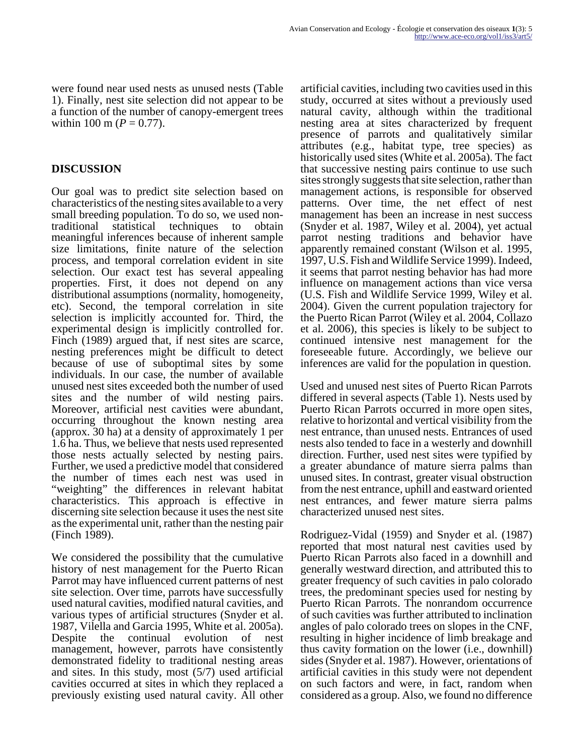were found near used nests as unused nests (Table 1). Finally, nest site selection did not appear to be a function of the number of canopy-emergent trees within 100 m ( $P = 0.77$ ).

### **DISCUSSION**

Our goal was to predict site selection based on characteristics of the nesting sites available to a very small breeding population. To do so, we used nontraditional statistical techniques to obtain meaningful inferences because of inherent sample size limitations, finite nature of the selection process, and temporal correlation evident in site selection. Our exact test has several appealing properties. First, it does not depend on any distributional assumptions (normality, homogeneity, etc). Second, the temporal correlation in site selection is implicitly accounted for. Third, the experimental design is implicitly controlled for. Finch (1989) argued that, if nest sites are scarce, nesting preferences might be difficult to detect because of use of suboptimal sites by some individuals. In our case, the number of available unused nest sites exceeded both the number of used sites and the number of wild nesting pairs. Moreover, artificial nest cavities were abundant, occurring throughout the known nesting area (approx. 30 ha) at a density of approximately 1 per 1.6 ha. Thus, we believe that nests used represented those nests actually selected by nesting pairs. Further, we used a predictive model that considered the number of times each nest was used in "weighting" the differences in relevant habitat characteristics. This approach is effective in discerning site selection because it uses the nest site as the experimental unit, rather than the nesting pair (Finch 1989).

We considered the possibility that the cumulative history of nest management for the Puerto Rican Parrot may have influenced current patterns of nest site selection. Over time, parrots have successfully used natural cavities, modified natural cavities, and various types of artificial structures (Snyder et al. 1987, Vilella and Garcia 1995, White et al. 2005a). Despite the continual evolution of nest management, however, parrots have consistently demonstrated fidelity to traditional nesting areas and sites. In this study, most (5/7) used artificial cavities occurred at sites in which they replaced a previously existing used natural cavity. All other

artificial cavities, including two cavities used in this study, occurred at sites without a previously used natural cavity, although within the traditional nesting area at sites characterized by frequent presence of parrots and qualitatively similar attributes (e.g., habitat type, tree species) as historically used sites (White et al. 2005a). The fact that successive nesting pairs continue to use such sites strongly suggests that site selection, rather than management actions, is responsible for observed patterns. Over time, the net effect of nest management has been an increase in nest success (Snyder et al. 1987, Wiley et al. 2004), yet actual parrot nesting traditions and behavior have apparently remained constant (Wilson et al. 1995, 1997, U.S. Fish and Wildlife Service 1999). Indeed, it seems that parrot nesting behavior has had more influence on management actions than vice versa (U.S. Fish and Wildlife Service 1999, Wiley et al. 2004). Given the current population trajectory for the Puerto Rican Parrot (Wiley et al. 2004, Collazo et al. 2006), this species is likely to be subject to continued intensive nest management for the foreseeable future. Accordingly, we believe our inferences are valid for the population in question.

Used and unused nest sites of Puerto Rican Parrots differed in several aspects (Table 1). Nests used by Puerto Rican Parrots occurred in more open sites, relative to horizontal and vertical visibility from the nest entrance, than unused nests. Entrances of used nests also tended to face in a westerly and downhill direction. Further, used nest sites were typified by a greater abundance of mature sierra palms than unused sites. In contrast, greater visual obstruction from the nest entrance, uphill and eastward oriented nest entrances, and fewer mature sierra palms characterized unused nest sites.

Rodriguez-Vidal (1959) and Snyder et al. (1987) reported that most natural nest cavities used by Puerto Rican Parrots also faced in a downhill and generally westward direction, and attributed this to greater frequency of such cavities in palo colorado trees, the predominant species used for nesting by Puerto Rican Parrots. The nonrandom occurrence of such cavities was further attributed to inclination angles of palo colorado trees on slopes in the CNF, resulting in higher incidence of limb breakage and thus cavity formation on the lower (i.e., downhill) sides (Snyder et al. 1987). However, orientations of artificial cavities in this study were not dependent on such factors and were, in fact, random when considered as a group. Also, we found no difference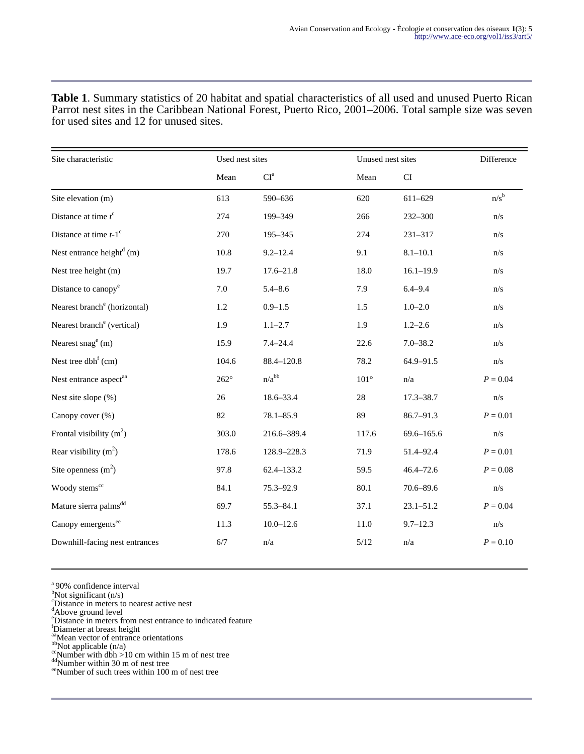| Site characteristic                      | Used nest sites |                          | Unused nest sites |                            | Difference              |
|------------------------------------------|-----------------|--------------------------|-------------------|----------------------------|-------------------------|
|                                          | Mean            | $\mathbf{CI}^{\text{a}}$ | Mean              | $\mathop{\rm CI}\nolimits$ |                         |
| Site elevation (m)                       | 613             | 590-636                  | 620               | 611-629                    | $n/s^b$                 |
| Distance at time $t^c$                   | 274             | 199-349                  | 266               | 232-300                    | n/s                     |
| Distance at time $t-1$ <sup>c</sup>      | 270             | 195-345                  | 274               | 231-317                    | n/s                     |
| Nest entrance height $^{d}$ (m)          | 10.8            | $9.2 - 12.4$             | 9.1               | $8.1 - 10.1$               | n/s                     |
| Nest tree height (m)                     | 19.7            | $17.6 - 21.8$            | 18.0              | $16.1 - 19.9$              | n/s                     |
| Distance to canopy <sup>e</sup>          | 7.0             | $5.4 - 8.6$              | 7.9               | $6.4 - 9.4$                | n/s                     |
| Nearest branch <sup>e</sup> (horizontal) | 1.2             | $0.9 - 1.5$              | 1.5               | $1.0 - 2.0$                | n/s                     |
| Nearest branch <sup>e</sup> (vertical)   | 1.9             | $1.1 - 2.7$              | 1.9               | $1.2 - 2.6$                | n/s                     |
| Nearest snag <sup>e</sup> (m)            | 15.9            | $7.4 - 24.4$             | 22.6              | $7.0 - 38.2$               | n/s                     |
| Nest tree dbh <sup>f</sup> (cm)          | 104.6           | $88.4 - 120.8$           | 78.2              | 64.9-91.5                  | n/s                     |
| Nest entrance aspect <sup>aa</sup>       | $262^\circ$     | $n/a^{bb}$               | $101^{\circ}$     | n/a                        | $P = 0.04$              |
| Nest site slope (%)                      | 26              | 18.6-33.4                | 28                | $17.3 - 38.7$              | n/s                     |
| Canopy cover (%)                         | 82              | $78.1 - 85.9$            | 89                | 86.7-91.3                  | $P = 0.01$              |
| Frontal visibility $(m^2)$               | 303.0           | 216.6-389.4              | 117.6             | $69.6 - 165.6$             | n/s                     |
| Rear visibility $(m^2)$                  | 178.6           | 128.9-228.3              | 71.9              | 51.4-92.4                  | $P = 0.01$              |
| Site openness $(m2)$                     | 97.8            | 62.4-133.2               | 59.5              | $46.4 - 72.6$              | $P = 0.08$              |
| Woody stems <sup>cc</sup>                | 84.1            | 75.3-92.9                | 80.1              | $70.6 - 89.6$              | n/s                     |
| Mature sierra palms <sup>dd</sup>        | 69.7            | $55.3 - 84.1$            | 37.1              | $23.1 - 51.2$              | $P = 0.04$              |
| Canopy emergents <sup>ee</sup>           | 11.3            | $10.0 - 12.6$            | 11.0              | $9.7 - 12.3$               | $\mathrm{n}/\mathrm{s}$ |
| Downhill-facing nest entrances           | $6/7$           | $\mathrm{n}/\mathrm{a}$  | $5/12$            | $\mathrm{n}/\mathrm{a}$    | $P = 0.10$              |

**Table 1**. Summary statistics of 20 habitat and spatial characteristics of all used and unused Puerto Rican Parrot nest sites in the Caribbean National Forest, Puerto Rico, 2001–2006. Total sample size was seven for used sites and 12 for unused sites.

 $a<sup>a</sup>$ 90% confidence interval

 $b$ Not significant (n/s)

<sup>c</sup>Distance in meters to nearest active nest

<sup>e</sup>Distance in meters from nest entrance to indicated feature

<sup>f</sup>Diameter at breast height

aa<sub>Mean</sub> vector of entrance orientations

bb<sub>Not applicable (n/a)</sub>

 $\frac{cc}{c}$ Number with dbh >10 cm within 15 m of nest tree

<sup>dd</sup>Number within 30 m of nest tree

ee Number of such trees within 100 m of nest tree

 $\alpha$ Above ground level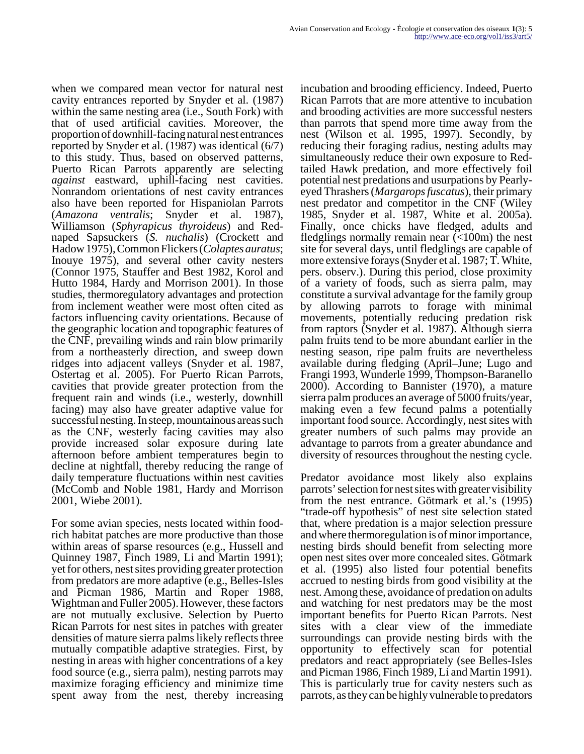when we compared mean vector for natural nest cavity entrances reported by Snyder et al. (1987) within the same nesting area (i.e., South Fork) with that of used artificial cavities. Moreover, the proportion of downhill-facing natural nest entrances reported by Snyder et al. (1987) was identical (6/7) to this study. Thus, based on observed patterns, Puerto Rican Parrots apparently are selecting *against* eastward, uphill-facing nest cavities. Nonrandom orientations of nest cavity entrances also have been reported for Hispaniolan Parrots (*Amazona ventralis*; Snyder et al. 1987), Williamson (*Sphyrapicus thyroideus*) and Rednaped Sapsuckers (*S. nuchalis*) (Crockett and Hadow 1975), Common Flickers (*Colaptes auratus*; Inouye 1975), and several other cavity nesters (Connor 1975, Stauffer and Best 1982, Korol and Hutto 1984, Hardy and Morrison 2001). In those studies, thermoregulatory advantages and protection from inclement weather were most often cited as factors influencing cavity orientations. Because of the geographic location and topographic features of the CNF, prevailing winds and rain blow primarily from a northeasterly direction, and sweep down ridges into adjacent valleys (Snyder et al. 1987, Ostertag et al. 2005). For Puerto Rican Parrots, cavities that provide greater protection from the frequent rain and winds (i.e., westerly, downhill facing) may also have greater adaptive value for successful nesting. In steep, mountainous areas such as the CNF, westerly facing cavities may also provide increased solar exposure during late afternoon before ambient temperatures begin to decline at nightfall, thereby reducing the range of daily temperature fluctuations within nest cavities (McComb and Noble 1981, Hardy and Morrison 2001, Wiebe 2001).

For some avian species, nests located within foodrich habitat patches are more productive than those within areas of sparse resources (e.g., Hussell and Quinney 1987, Finch 1989, Li and Martin 1991); yet for others, nest sites providing greater protection from predators are more adaptive (e.g., Belles-Isles and Picman 1986, Martin and Roper 1988, Wightman and Fuller 2005). However, these factors are not mutually exclusive. Selection by Puerto Rican Parrots for nest sites in patches with greater densities of mature sierra palms likely reflects three mutually compatible adaptive strategies. First, by nesting in areas with higher concentrations of a key food source (e.g., sierra palm), nesting parrots may maximize foraging efficiency and minimize time spent away from the nest, thereby increasing

incubation and brooding efficiency. Indeed, Puerto Rican Parrots that are more attentive to incubation and brooding activities are more successful nesters than parrots that spend more time away from the nest (Wilson et al. 1995, 1997). Secondly, by reducing their foraging radius, nesting adults may simultaneously reduce their own exposure to Redtailed Hawk predation, and more effectively foil potential nest predations and usurpations by Pearlyeyed Thrashers (*Margarops fuscatus*), their primary nest predator and competitor in the CNF (Wiley 1985, Snyder et al. 1987, White et al. 2005a). Finally, once chicks have fledged, adults and fledglings normally remain near  $\left($  <100m) the nest site for several days, until fledglings are capable of more extensive forays (Snyder et al. 1987; T. White, pers. observ.). During this period, close proximity of a variety of foods, such as sierra palm, may constitute a survival advantage for the family group by allowing parrots to forage with minimal movements, potentially reducing predation risk from raptors (Snyder et al. 1987). Although sierra palm fruits tend to be more abundant earlier in the nesting season, ripe palm fruits are nevertheless available during fledging (April–June; Lugo and Frangi 1993, Wunderle 1999, Thompson-Baranello 2000). According to Bannister (1970), a mature sierra palm produces an average of 5000 fruits/year, making even a few fecund palms a potentially important food source. Accordingly, nest sites with greater numbers of such palms may provide an advantage to parrots from a greater abundance and diversity of resources throughout the nesting cycle.

Predator avoidance most likely also explains parrots' selection for nest sites with greater visibility from the nest entrance. Götmark et al.'s (1995) "trade-off hypothesis" of nest site selection stated that, where predation is a major selection pressure and where thermoregulation is of minor importance, nesting birds should benefit from selecting more open nest sites over more concealed sites. Götmark et al. (1995) also listed four potential benefits accrued to nesting birds from good visibility at the nest. Among these, avoidance of predation on adults and watching for nest predators may be the most important benefits for Puerto Rican Parrots. Nest sites with a clear view of the immediate surroundings can provide nesting birds with the opportunity to effectively scan for potential predators and react appropriately (see Belles-Isles and Picman 1986, Finch 1989, Li and Martin 1991). This is particularly true for cavity nesters such as parrots, as they can be highly vulnerable to predators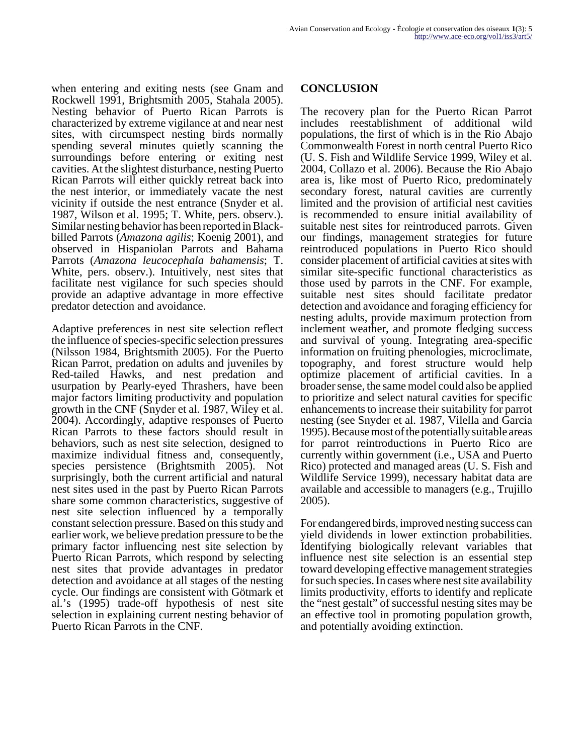when entering and exiting nests (see Gnam and Rockwell 1991, Brightsmith 2005, Stahala 2005). Nesting behavior of Puerto Rican Parrots is characterized by extreme vigilance at and near nest sites, with circumspect nesting birds normally spending several minutes quietly scanning the surroundings before entering or exiting nest cavities. At the slightest disturbance, nesting Puerto Rican Parrots will either quickly retreat back into the nest interior, or immediately vacate the nest vicinity if outside the nest entrance (Snyder et al. 1987, Wilson et al. 1995; T. White, pers. observ.). Similar nesting behavior has been reported in Blackbilled Parrots (*Amazona agilis*; Koenig 2001), and observed in Hispaniolan Parrots and Bahama Parrots (*Amazona leucocephala bahamensis*; T. White, pers. observ.). Intuitively, nest sites that facilitate nest vigilance for such species should provide an adaptive advantage in more effective predator detection and avoidance.

Adaptive preferences in nest site selection reflect the influence of species-specific selection pressures (Nilsson 1984, Brightsmith 2005). For the Puerto Rican Parrot, predation on adults and juveniles by Red-tailed Hawks, and nest predation and usurpation by Pearly-eyed Thrashers, have been major factors limiting productivity and population growth in the CNF (Snyder et al. 1987, Wiley et al. 2004). Accordingly, adaptive responses of Puerto Rican Parrots to these factors should result in behaviors, such as nest site selection, designed to maximize individual fitness and, consequently, species persistence (Brightsmith 2005). Not surprisingly, both the current artificial and natural nest sites used in the past by Puerto Rican Parrots share some common characteristics, suggestive of nest site selection influenced by a temporally constant selection pressure. Based on this study and earlier work, we believe predation pressure to be the primary factor influencing nest site selection by Puerto Rican Parrots, which respond by selecting nest sites that provide advantages in predator detection and avoidance at all stages of the nesting cycle. Our findings are consistent with Götmark et al.'s (1995) trade-off hypothesis of nest site selection in explaining current nesting behavior of Puerto Rican Parrots in the CNF.

#### **CONCLUSION**

The recovery plan for the Puerto Rican Parrot includes reestablishment of additional wild populations, the first of which is in the Rio Abajo Commonwealth Forest in north central Puerto Rico (U. S. Fish and Wildlife Service 1999, Wiley et al. 2004, Collazo et al. 2006). Because the Rio Abajo area is, like most of Puerto Rico, predominately secondary forest, natural cavities are currently limited and the provision of artificial nest cavities is recommended to ensure initial availability of suitable nest sites for reintroduced parrots. Given our findings, management strategies for future reintroduced populations in Puerto Rico should consider placement of artificial cavities at sites with similar site-specific functional characteristics as those used by parrots in the CNF. For example, suitable nest sites should facilitate predator detection and avoidance and foraging efficiency for nesting adults, provide maximum protection from inclement weather, and promote fledging success and survival of young. Integrating area-specific information on fruiting phenologies, microclimate, topography, and forest structure would help optimize placement of artificial cavities. In a broader sense, the same model could also be applied to prioritize and select natural cavities for specific enhancements to increase their suitability for parrot nesting (see Snyder et al. 1987, Vilella and Garcia 1995). Because most of the potentially suitable areas for parrot reintroductions in Puerto Rico are currently within government (i.e., USA and Puerto Rico) protected and managed areas (U. S. Fish and Wildlife Service 1999), necessary habitat data are available and accessible to managers (e.g., Trujillo 2005).

For endangered birds, improved nesting success can yield dividends in lower extinction probabilities. Identifying biologically relevant variables that influence nest site selection is an essential step toward developing effective management strategies for such species. In cases where nest site availability limits productivity, efforts to identify and replicate the "nest gestalt" of successful nesting sites may be an effective tool in promoting population growth, and potentially avoiding extinction.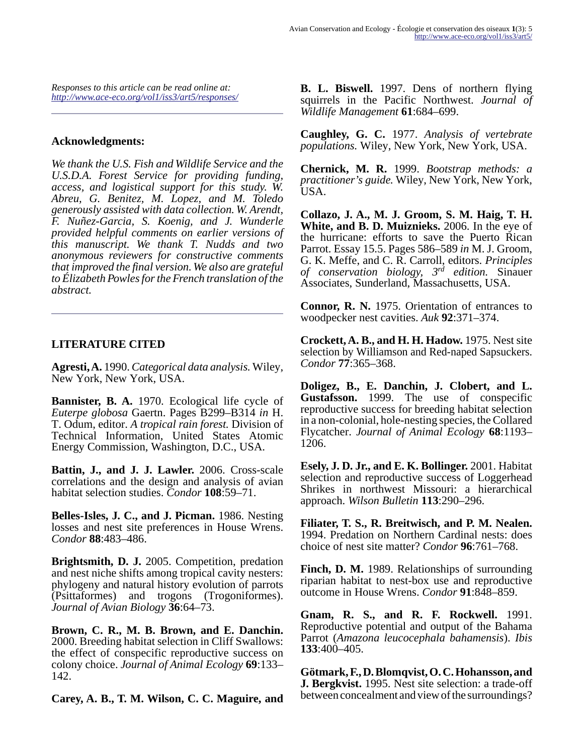*Responses to this article can be read online at: <http://www.ace-eco.org/vol1/iss3/art5/responses/>*

#### **Acknowledgments:**

*We thank the U.S. Fish and Wildlife Service and the U.S.D.A. Forest Service for providing funding, access, and logistical support for this study. W. Abreu, G. Benitez, M. Lopez, and M. Toledo generously assisted with data collection. W. Arendt, F. Nuñez-Garcia, S. Koenig, and J. Wunderle provided helpful comments on earlier versions of this manuscript. We thank T. Nudds and two anonymous reviewers for constructive comments that improved the final version. We also are grateful to Élizabeth Powles for the French translation of the abstract.* 

## **LITERATURE CITED**

**Agresti, A.** 1990. *Categorical data analysis.* Wiley, New York, New York, USA.

**Bannister, B. A.** 1970. Ecological life cycle of *Euterpe globosa* Gaertn. Pages B299–B314 *in* H. T. Odum, editor. *A tropical rain forest.* Division of Technical Information, United States Atomic Energy Commission, Washington, D.C., USA.

**Battin, J., and J. J. Lawler.** 2006. Cross-scale correlations and the design and analysis of avian habitat selection studies. *Condor* **108**:59–71.

**Belles-Isles, J. C., and J. Picman.** 1986. Nesting losses and nest site preferences in House Wrens. *Condor* **88**:483–486.

**Brightsmith, D. J.** 2005. Competition, predation and nest niche shifts among tropical cavity nesters: phylogeny and natural history evolution of parrots (Psittaformes) and trogons (Trogoniformes). *Journal of Avian Biology* **36**:64–73.

**Brown, C. R., M. B. Brown, and E. Danchin.** 2000. Breeding habitat selection in Cliff Swallows: the effect of conspecific reproductive success on colony choice. *Journal of Animal Ecology* **69**:133– 142.

**Carey, A. B., T. M. Wilson, C. C. Maguire, and**

**B. L. Biswell.** 1997. Dens of northern flying squirrels in the Pacific Northwest. *Journal of Wildlife Management* **61**:684–699.

**Caughley, G. C.** 1977. *Analysis of vertebrate populations.* Wiley, New York, New York, USA.

**Chernick, M. R.** 1999. *Bootstrap methods: a practitioner's guide.* Wiley, New York, New York, USA.

**Collazo, J. A., M. J. Groom, S. M. Haig, T. H. White, and B. D. Muiznieks.** 2006. In the eye of the hurricane: efforts to save the Puerto Rican Parrot. Essay 15.5. Pages 586–589 *in* M. J. Groom, G. K. Meffe, and C. R. Carroll, editors. *Principles of conservation biology, 3rd edition.* Sinauer Associates, Sunderland, Massachusetts, USA.

**Connor, R. N.** 1975. Orientation of entrances to woodpecker nest cavities. *Auk* **92**:371–374.

**Crockett, A. B., and H. H. Hadow.** 1975. Nest site selection by Williamson and Red-naped Sapsuckers. *Condor* **77**:365–368.

**Doligez, B., E. Danchin, J. Clobert, and L. Gustafsson.** 1999. The use of conspecific reproductive success for breeding habitat selection in a non-colonial, hole-nesting species, the Collared Flycatcher. *Journal of Animal Ecology* **68**:1193– 1206.

**Esely, J. D. Jr., and E. K. Bollinger.** 2001. Habitat selection and reproductive success of Loggerhead Shrikes in northwest Missouri: a hierarchical approach. *Wilson Bulletin* **113**:290–296.

**Filiater, T. S., R. Breitwisch, and P. M. Nealen.** 1994. Predation on Northern Cardinal nests: does choice of nest site matter? *Condor* **96**:761–768.

**Finch, D. M.** 1989. Relationships of surrounding riparian habitat to nest-box use and reproductive outcome in House Wrens. *Condor* **91**:848–859.

**Gnam, R. S., and R. F. Rockwell.** 1991. Reproductive potential and output of the Bahama Parrot (*Amazona leucocephala bahamensis*). *Ibis* **133**:400–405.

**Götmark, F., D. Blomqvist, O. C. Hohansson, and J. Bergkvist.** 1995. Nest site selection: a trade-off between concealment and view of the surroundings?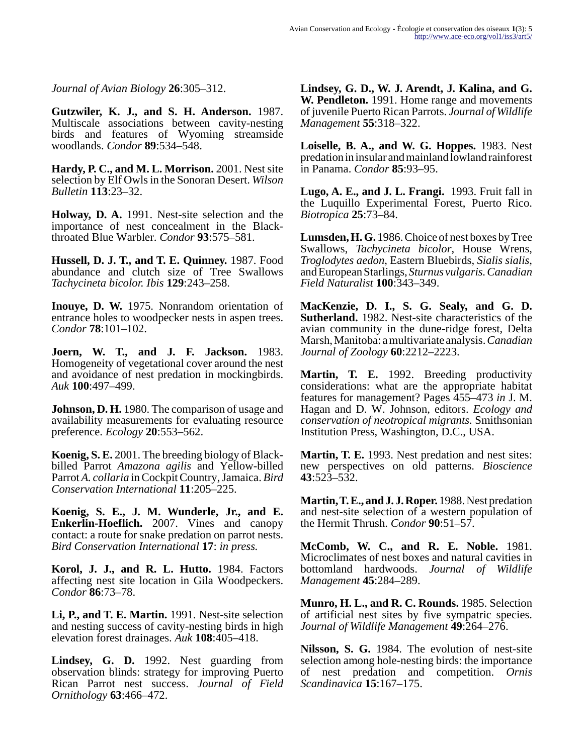*Journal of Avian Biology* **26**:305–312.

**Gutzwiler, K. J., and S. H. Anderson.** 1987. Multiscale associations between cavity-nesting birds and features of Wyoming streamside woodlands. *Condor* **89**:534–548.

**Hardy, P. C., and M. L. Morrison.** 2001. Nest site selection by Elf Owls in the Sonoran Desert. *Wilson Bulletin* **113**:23–32.

**Holway, D. A.** 1991. Nest-site selection and the importance of nest concealment in the Blackthroated Blue Warbler. *Condor* **93**:575–581.

**Hussell, D. J. T., and T. E. Quinney.** 1987. Food abundance and clutch size of Tree Swallows *Tachycineta bicolor. Ibis* **129**:243–258.

**Inouye, D. W.** 1975. Nonrandom orientation of entrance holes to woodpecker nests in aspen trees. *Condor* **78**:101–102.

**Joern, W. T., and J. F. Jackson.** 1983. Homogeneity of vegetational cover around the nest and avoidance of nest predation in mockingbirds. *Auk* **100**:497–499.

**Johnson, D. H.** 1980. The comparison of usage and availability measurements for evaluating resource preference. *Ecology* **20**:553–562.

**Koenig, S. E.** 2001. The breeding biology of Blackbilled Parrot *Amazona agilis* and Yellow-billed Parrot *A. collaria* in Cockpit Country, Jamaica. *Bird Conservation International* **11**:205–225.

**Koenig, S. E., J. M. Wunderle, Jr., and E. Enkerlin-Hoeflich.** 2007. Vines and canopy contact: a route for snake predation on parrot nests. *Bird Conservation International* **17**: *in press.*

**Korol, J. J., and R. L. Hutto.** 1984. Factors affecting nest site location in Gila Woodpeckers. *Condor* **86**:73–78.

**Li, P., and T. E. Martin.** 1991. Nest-site selection and nesting success of cavity-nesting birds in high elevation forest drainages. *Auk* **108**:405–418.

**Lindsey, G. D.** 1992. Nest guarding from observation blinds: strategy for improving Puerto Rican Parrot nest success. *Journal of Field Ornithology* **63**:466–472.

**Lindsey, G. D., W. J. Arendt, J. Kalina, and G. W. Pendleton.** 1991. Home range and movements of juvenile Puerto Rican Parrots. *Journal of Wildlife Management* **55**:318–322.

**Loiselle, B. A., and W. G. Hoppes.** 1983. Nest predation in insular and mainland lowland rainforest in Panama. *Condor* **85**:93–95.

**Lugo, A. E., and J. L. Frangi.** 1993. Fruit fall in the Luquillo Experimental Forest, Puerto Rico. *Biotropica* **25**:73–84.

**Lumsden, H. G.** 1986. Choice of nest boxes by Tree Swallows, *Tachycineta bicolor*, House Wrens, *Troglodytes aedon*, Eastern Bluebirds, *Sialis sialis*, and European Starlings, *Sturnus vulgaris.Canadian Field Naturalist* **100**:343–349.

**MacKenzie, D. I., S. G. Sealy, and G. D. Sutherland.** 1982. Nest-site characteristics of the avian community in the dune-ridge forest, Delta Marsh, Manitoba: a multivariate analysis. *Canadian Journal of Zoology* **60**:2212–2223.

**Martin, T. E.** 1992. Breeding productivity considerations: what are the appropriate habitat features for management? Pages 455–473 *in* J. M. Hagan and D. W. Johnson, editors. *Ecology and conservation of neotropical migrants.* Smithsonian Institution Press, Washington, D.C., USA.

**Martin, T. E.** 1993. Nest predation and nest sites: new perspectives on old patterns. *Bioscience* **43**:523–532.

**Martin, T. E., and J. J. Roper.** 1988. Nest predation and nest-site selection of a western population of the Hermit Thrush. *Condor* **90**:51–57.

**McComb, W. C., and R. E. Noble.** 1981. Microclimates of nest boxes and natural cavities in bottomland hardwoods. *Journal of Wildlife Management* **45**:284–289.

**Munro, H. L., and R. C. Rounds.** 1985. Selection of artificial nest sites by five sympatric species. *Journal of Wildlife Management* **49**:264–276.

**Nilsson, S. G.** 1984. The evolution of nest-site selection among hole-nesting birds: the importance of nest predation and competition. *Ornis Scandinavica* **15**:167–175.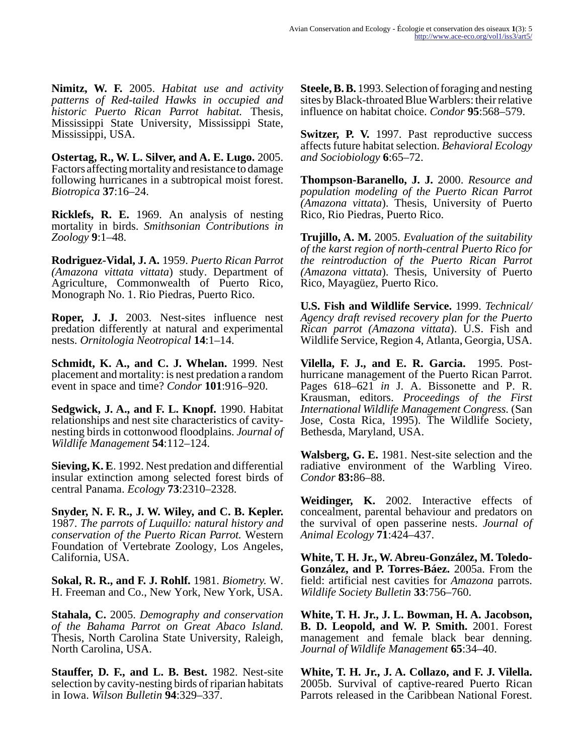**Nimitz, W. F.** 2005. *Habitat use and activity patterns of Red-tailed Hawks in occupied and historic Puerto Rican Parrot habitat.* Thesis, Mississippi State University, Mississippi State, Mississippi, USA.

**Ostertag, R., W. L. Silver, and A. E. Lugo.** 2005. Factors affecting mortality and resistance to damage following hurricanes in a subtropical moist forest. *Biotropica* **37**:16–24.

**Ricklefs, R. E.** 1969. An analysis of nesting mortality in birds. *Smithsonian Contributions in Zoology* **9**:1–48.

**Rodriguez-Vidal, J. A.** 1959. *Puerto Rican Parrot (Amazona vittata vittata*) study. Department of Agriculture, Commonwealth of Puerto Rico, Monograph No. 1. Rio Piedras, Puerto Rico.

**Roper, J. J.** 2003. Nest-sites influence nest predation differently at natural and experimental nests. *Ornitologia Neotropical* **14**:1–14.

**Schmidt, K. A., and C. J. Whelan.** 1999. Nest placement and mortality: is nest predation a random event in space and time? *Condor* **101**:916–920.

**Sedgwick, J. A., and F. L. Knopf.** 1990. Habitat relationships and nest site characteristics of cavitynesting birds in cottonwood floodplains. *Journal of Wildlife Management* **54**:112–124.

**Sieving, K. E**. 1992. Nest predation and differential insular extinction among selected forest birds of central Panama. *Ecology* **73**:2310–2328.

**Snyder, N. F. R., J. W. Wiley, and C. B. Kepler.** 1987. *The parrots of Luquillo: natural history and conservation of the Puerto Rican Parrot.* Western Foundation of Vertebrate Zoology, Los Angeles, California, USA.

**Sokal, R. R., and F. J. Rohlf.** 1981. *Biometry.* W. H. Freeman and Co., New York, New York, USA.

**Stahala, C.** 2005. *Demography and conservation of the Bahama Parrot on Great Abaco Island.* Thesis, North Carolina State University, Raleigh, North Carolina, USA.

**Stauffer, D. F., and L. B. Best.** 1982. Nest-site selection by cavity-nesting birds of riparian habitats in Iowa. *Wilson Bulletin* **94**:329–337.

**Steele, B. B.** 1993. Selection of foraging and nesting sites by Black-throated Blue Warblers: their relative influence on habitat choice. *Condor* **95**:568–579.

**Switzer, P. V.** 1997. Past reproductive success affects future habitat selection. *Behavioral Ecology and Sociobiology* **6**:65–72.

**Thompson-Baranello, J. J.** 2000. *Resource and population modeling of the Puerto Rican Parrot (Amazona vittata*). Thesis, University of Puerto Rico, Rio Piedras, Puerto Rico.

**Trujillo, A. M.** 2005. *Evaluation of the suitability of the karst region of north-central Puerto Rico for the reintroduction of the Puerto Rican Parrot (Amazona vittata*). Thesis, University of Puerto Rico, Mayagüez, Puerto Rico.

**U.S. Fish and Wildlife Service.** 1999. *Technical/ Agency draft revised recovery plan for the Puerto Rican parrot (Amazona vittata*). U.S. Fish and Wildlife Service, Region 4, Atlanta, Georgia, USA.

**Vilella, F. J., and E. R. Garcia.** 1995. Posthurricane management of the Puerto Rican Parrot. Pages 618–621 *in* J. A. Bissonette and P. R. Krausman, editors. *Proceedings of the First International Wildlife Management Congress.* (San Jose, Costa Rica, 1995). The Wildlife Society, Bethesda, Maryland, USA.

**Walsberg, G. E.** 1981. Nest-site selection and the radiative environment of the Warbling Vireo. *Condor* **83:**86–88.

**Weidinger, K.** 2002. Interactive effects of concealment, parental behaviour and predators on the survival of open passerine nests. *Journal of Animal Ecology* **71**:424–437.

**White, T. H. Jr., W. Abreu-González, M. Toledo-González, and P. Torres-Báez.** 2005a. From the field: artificial nest cavities for *Amazona* parrots. *Wildlife Society Bulletin* **33**:756–760.

**White, T. H. Jr., J. L. Bowman, H. A. Jacobson, B. D. Leopold, and W. P. Smith.** 2001. Forest management and female black bear denning. *Journal of Wildlife Management* **65**:34–40.

**White, T. H. Jr., J. A. Collazo, and F. J. Vilella.** 2005b. Survival of captive-reared Puerto Rican Parrots released in the Caribbean National Forest.